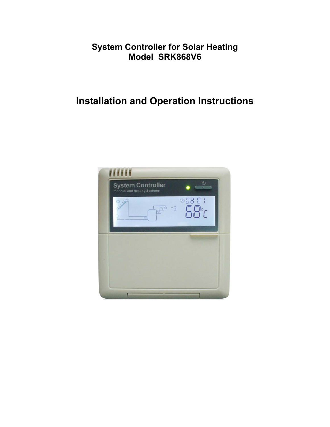# **System Controller for Solar Heating Model SRK868V6**

# **Installation and Operation Instructions**

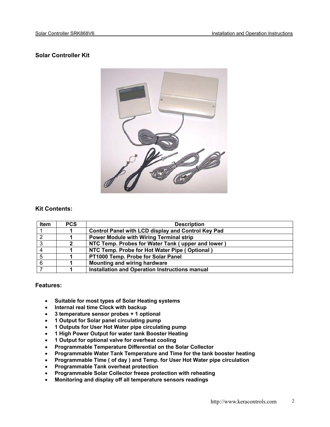# **Solar Controller Kit**



# **Kit Contents:**

| Item | <b>PCS</b> | <b>Description</b>                                        |
|------|------------|-----------------------------------------------------------|
|      |            | <b>Control Panel with LCD display and Control Key Pad</b> |
|      |            | <b>Power Module with Wiring Terminal strip</b>            |
| ົ    |            | NTC Temp. Probes for Water Tank (upper and lower          |
|      |            | NTC Temp. Probe for Hot Water Pipe (Optional)             |
|      |            | PT1000 Temp. Probe for Solar Panel                        |
|      |            | <b>Mounting and wiring hardware</b>                       |
|      |            | Installation and Operation Instructions manual            |

# **Features:**

- **Suitable for most types of Solar Heating systems**
- **Internal real time Clock with backup**
- **3 temperature sensor probes + 1 optional**
- **1 Output for Solar panel circulating pump**
- **1 Outputs for User Hot Water pipe circulating pump**
- **1 High Power Output for water tank Booster Heating**
- **1 Output for optional valve for overheat cooling**
- **Programmable Temperature Differential on the Solar Collector**
- **Programmable Water Tank Temperature and Time for the tank booster heating**
- **Programmable Time ( of day ) and Temp. for User Hot Water pipe circulation**
- **Programmable Tank overheat protection**
- **Programmable Solar Collector freeze protection with reheating**
- **Monitoring and display off all temperature sensors readings**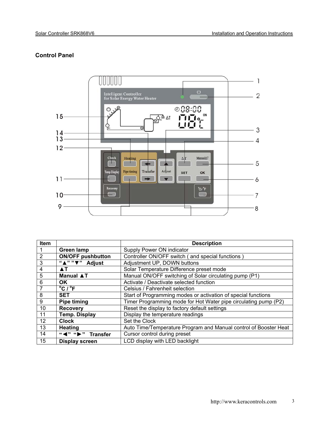# **Control Panel**



| Item           |                                        | <b>Description</b>                                               |
|----------------|----------------------------------------|------------------------------------------------------------------|
|                | <b>Green lamp</b>                      | Supply Power ON indicator                                        |
| $\overline{2}$ | <b>ON/OFF pushbutton</b>               | Controller ON/OFF switch (and special functions)                 |
| 3              | " $\overline{N''}$ " $\nabla$ " Adjust | Adjustment UP, DOWN buttons                                      |
| 4              | $\blacktriangle$ T                     | Solar Temperature Difference preset mode                         |
| 5              | <b>Manual ▲T</b>                       | Manual ON/OFF switching of Solar circulating pump (P1)           |
| 6              | OK.                                    | Activate / Deactivate selected function                          |
|                | $^{\circ}$ C / $^{\circ}$ F            | Celsius / Fahrenheit selection                                   |
| 8              | <b>SET</b>                             | Start of Programming modes or activation of special functions    |
| 9              | <b>Pipe timing</b>                     | Timer Programming mode for Hot Water pipe circulating pump (P2)  |
| 10             | <b>Recovery</b>                        | Reset the display to factory default settings                    |
| 11             | <b>Temp. Display</b>                   | Display the temperature readings                                 |
| 12             | <b>Clock</b>                           | Set the Clock                                                    |
| 13             | <b>Heating</b>                         | Auto Time/Temperature Program and Manual control of Booster Heat |
| 14             | "<">">Transfer                         | Cursor control during preset                                     |
| 15             | Display screen                         | LCD display with LED backlight                                   |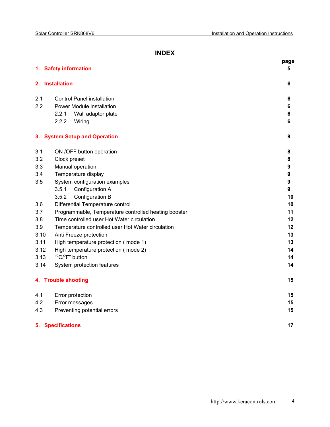# **INDEX**

|      |                                                      | page             |
|------|------------------------------------------------------|------------------|
|      | 1. Safety information                                | 5                |
|      | 2. Installation                                      | 6                |
| 2.1  | <b>Control Panel installation</b>                    | 6                |
| 2.2  | Power Module installation                            | 6                |
|      | 2.2.1<br>Wall adaptor plate                          | 6                |
|      | 2.2.2<br>Wiring                                      | 6                |
|      | 3. System Setup and Operation                        | 8                |
| 3.1  | ON /OFF button operation                             | 8                |
| 3.2  | Clock preset                                         | 8                |
| 3.3  | Manual operation                                     | 9                |
| 3.4  | Temperature display                                  | 9                |
| 3.5  | System configuration examples                        | $\boldsymbol{9}$ |
|      | 3.5.1<br>Configuration A                             | 9                |
|      | 3.5.2<br>Configuration B                             | 10               |
| 3.6  | Differential Temperature control                     | 10               |
| 3.7  | Programmable, Temperature controlled heating booster | 11               |
| 3.8  | Time controlled user Hot Water circulation           | 12               |
| 3.9  | Temperature controlled user Hot Water circulation    | 12               |
| 3.10 | Anti Freeze protection                               | 13               |
| 3.11 | High temperature protection (mode 1)                 | 13               |
| 3.12 | High temperature protection (mode 2)                 | 14               |
| 3.13 | " <sup>o</sup> C/ <sup>o</sup> F" button             | 14               |
| 3.14 | System protection features                           | 14               |
|      | 4. Trouble shooting                                  | 15               |
| 4.1  | Error protection                                     | 15               |
| 4.2  | Error messages                                       | 15               |
| 4.3  | Preventing potential errors                          | 15               |
|      | <b>5. Specifications</b>                             | 17               |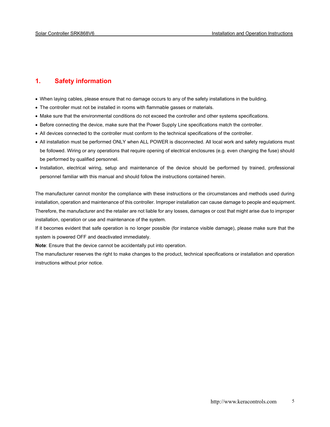# **1. Safety information**

- When laying cables, please ensure that no damage occurs to any of the safety installations in the building.
- The controller must not be installed in rooms with flammable gasses or materials.
- Make sure that the environmental conditions do not exceed the controller and other systems specifications.
- Before connecting the device, make sure that the Power Supply Line specifications match the controller.
- All devices connected to the controller must conform to the technical specifications of the controller.
- All installation must be performed ONLY when ALL POWER is disconnected. All local work and safety regulations must be followed. Wiring or any operations that require opening of electrical enclosures (e.g. even changing the fuse) should be performed by qualified personnel.
- Installation, electrical wiring, setup and maintenance of the device should be performed by trained, professional personnel familiar with this manual and should follow the instructions contained herein.

The manufacturer cannot monitor the compliance with these instructions or the circumstances and methods used during installation, operation and maintenance of this controller. Improper installation can cause damage to people and equipment. Therefore, the manufacturer and the retailer are not liable for any losses, damages or cost that might arise due to improper installation, operation or use and maintenance of the system.

If it becomes evident that safe operation is no longer possible (for instance visible damage), please make sure that the system is powered OFF and deactivated immediately.

**Note**: Ensure that the device cannot be accidentally put into operation.

The manufacturer reserves the right to make changes to the product, technical specifications or installation and operation instructions without prior notice.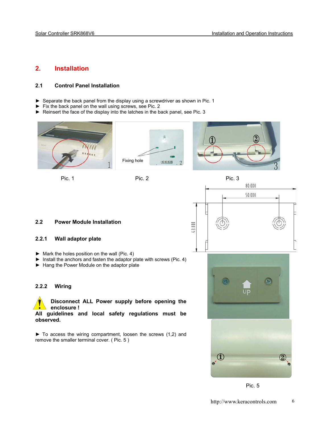# **2. Installation**

# **2.1 Control Panel Installation**

- ► Separate the back panel from the display using a screwdriver as shown in Pic. 1
- ► Fix the back panel on the wall using screws, see Pic. 2
- ► Reinsert the face of the display into the latches in the back panel, see Pic. 3





### **2.2 Power Module Installation**

# **2.2.1 Wall adaptor plate**

- ► Mark the holes position on the wall (Pic. 4)
- ► Install the anchors and fasten the adaptor plate with screws (Pic. 4)
- ► Hang the Power Module on the adaptor plate

### **2.2.2 Wiring**



**Disconnect ALL Power supply before opening the enclosure !** 

**All guidelines and local safety regulations must be observed.** 

► To access the wiring compartment, loosen the screws (1,2) and remove the smaller terminal cover. ( Pic. 5 )



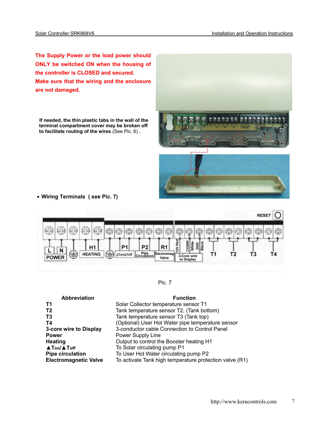**The Supply Power or the load power should ONLY be switched ON when the housing of the controller is CLOSED and secured. Make sure that the wiring and the enclosure are not damaged.** 

 **If needed, the thin plastic tabs in the wall of the terminal compartment cover may be broken off to facilitate routing of the wires** (See Pic. 6) **.** 



• **Wiring Terminals ( see Pic. 7)** 



Pic. 7

| <b>Abbreviation</b>          | <b>Function</b>                                         |
|------------------------------|---------------------------------------------------------|
| <b>T1</b>                    | Solar Collector temperature sensor T1                   |
| T <sub>2</sub>               | Tank temperature sensor T2, (Tank bottom)               |
| T <sub>3</sub>               | Tank temperature sensor T3 (Tank top)                   |
| T4                           | (Optional) User Hot Water pipe temperature sensor       |
| 3-core wire to Display       | 3-conductor cable Connection to Control Panel           |
| <b>Power</b>                 | Power Supply Line                                       |
| Heating                      | Output to control the Booster heating H1                |
| <b>A</b> Ton/ <b>A</b> Toff  | To Solar circulating pump P1                            |
| <b>Pipe circulation</b>      | To User Hot Water circulating pump P2                   |
| <b>Electromagnetic Valve</b> | To activate Tank high temperature protection valve (R1) |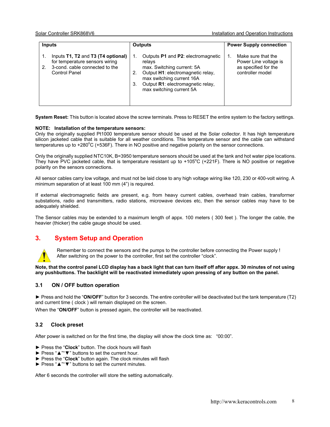| <b>Inputs</b>                                                                                                                 | <b>Outputs</b>                                                                                                                                                                                                            | <b>Power Supply connection</b>                                                                |  |  |
|-------------------------------------------------------------------------------------------------------------------------------|---------------------------------------------------------------------------------------------------------------------------------------------------------------------------------------------------------------------------|-----------------------------------------------------------------------------------------------|--|--|
| Inputs T1, T2 and T3 (T4 optional)<br>for temperature sensors wiring<br>3-cond, cable connected to the<br>2.<br>Control Panel | Outputs P1 and P2: electromagnetic<br>relays<br>max. Switching current: 5A<br>Output H1: electromagnetic relay,<br>2.<br>max switching current 16A<br>Output R1: electromagnetic relay,<br>3.<br>max switching current 5A | Make sure that the<br>1.<br>Power Line voltage is<br>as specified for the<br>controller model |  |  |

**System Reset:** This button is located above the screw terminals. Press to RESET the entire system to the factory settings.

# **NOTE: Installation of the temperature sensors:**

Only the originally supplied Pt1000 temperature sensor should be used at the Solar collector. It has high temperature silicon jacketed cable that is suitable for all weather conditions. This temperature sensor and the cable can withstand temperatures up to +280°C (+536F). There in NO positive and negative polarity on the sensor connections.

Only the originally supplied NTC10K, B=3950 temperature sensors should be used at the tank and hot water pipe locations. They have PVC jacketed cable, that is temperature resistant up to +105°C (+221F). There is NO positive or negative polarity on the sensors connections.

All sensor cables carry low voltage, and must not be laid close to any high voltage wiring like 120, 230 or 400-volt wiring. A minimum separation of at least 100 mm (4") is required.

If external electromagnetic fields are present, e.g. from heavy current cables, overhead train cables, transformer substations, radio and transmitters, radio stations, microwave devices etc, then the sensor cables may have to be adequately shielded.

The Sensor cables may be extended to a maximum length of appx. 100 meters ( 300 feet ). The longer the cable, the heavier (thicker) the cable gauge should be used.

# **3. System Setup and Operation**



Remember to connect the sensors and the pumps to the controller before connecting the Power supply ! After switching on the power to the controller, first set the controller "clock".

**Note, that the control panel LCD display has a back light that can turn itself off after appx. 30 minutes of not using any pushbuttons. The backlight will be reactivated immediately upon pressing of any button on the panel.** 

# **3.1 ON / OFF button operation**

► Press and hold the "**ON/OFF**" button for 3 seconds. The entire controller will be deactivated but the tank temperature (T2) and current time ( clock ) will remain displayed on the screen.

When the "**ON/OFF**" button is pressed again, the controller will be reactivated.

# **3.2 Clock preset**

After power is switched on for the first time, the display will show the clock time as: "00:00".

- ► Press the "**Clock**" button. The clock hours will flash
- ► Press "▲""▼" buttons to set the current hour.
- ► Press the "**Clock**" button again. The clock minutes will flash
- ► Press "▲""▼" buttons to set the current minutes.

After 6 seconds the controller will store the setting automatically.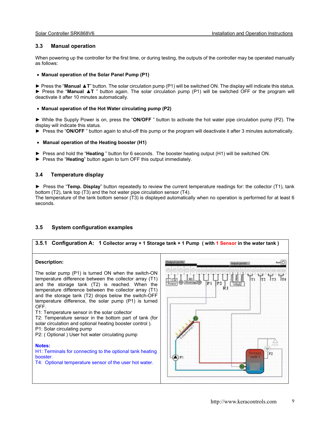# **3.3 Manual operation**

When powering up the controller for the first time, or during testing, the outputs of the controller may be operated manually as follows:

#### • **Manual operation of the Solar Panel Pump (P1)**

► Press the "**Manual ▲T**" button. The solar circulation pump (P1) will be switched ON. The display will indicate this status. ► Press the "**Manual ▲T** " button again. The solar circulation pump (P1) will be switched OFF or the program will deactivate it after 10 minutes automatically.

#### • **Manual operation of the Hot Water circulating pump (P2)**

► While the Supply Power is on, press the "**ON/OFF** " button to activate the hot water pipe circulation pump (P2). The display will indicate this status.

► Press the "**ON/OFF** " button again to shut-off this pump or the program will deactivate it after 3 minutes automatically.

#### • **Manual operation of the Heating booster (H1)**

- ► Press and hold the "**Heating** " button for 6 seconds. The booster heating output (H1) will be switched ON.
- ► Press the "**Heating**" button again to turn OFF this output immediately.

# **3.4 Temperature display**

► Press the "**Temp. Display**" button repeatedly to review the current temperature readings for: the collector (T1), tank bottom (T2), tank top (T3) and the hot water pipe circulation sensor (T4).

The temperature of the tank bottom sensor (T3) is displayed automatically when no operation is performed for at least 6 seconds.

# **3.5 System configuration examples**

# **3.5.1 Configuration A: 1 Collector array + 1 Storage tank + 1 Pump ( with 1 Sensor in the water tank )**

#### **Description:**

The solar pump (P1) is turned ON when the switch-ON temperature difference between the collector array (T1) and the storage tank (T2) is reached. When the temperature difference between the collector array (T1) and the storage tank (T2) drops below the switch-OFF temperature difference, the solar pump (P1) is turned OFF. T1: Temperature sensor in the solar collector T2: Temperature sensor in the bottom part of tank (for solar circulation and optional heating booster control ). P1: Solar circulating pump P2: ( Optional ) User hot water circulating pump

#### **Notes:**

H1: Terminals for connecting to the optional tank heating booster. T4: Optional temperature sensor of the user hot water.

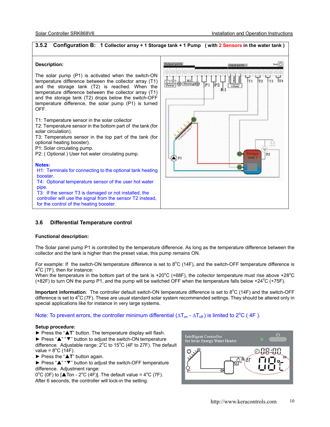

# **3.6 Differential Temperature control**

### **Functional description:**

The Solar panel pump P1 is controlled by the temperature difference. As long as the temperature difference between the collector and the tank is higher than the preset value, this pump remains ON.

For example: If the switch-ON temperature difference is set to  $8^{\circ}$ C (14F), and the switch-OFF temperature difference is 4°C (7F), then for instance:

When the temperature in the bottom part of the tank is +20 $^{\circ}$ C (+68F), the collector temperature must rise above +28 $^{\circ}$ C (+82F) to turn ON the pump P1, and the pump will be switched OFF when the temperature falls below +24 $\degree$ C (+75F).

Important information: The controller default switch-ON temperature difference is set to 8<sup>o</sup>C (14F) and the switch-OFF difference is set to 4°C (7F). These are usual standard solar system recommended settings. They should be altered only in special applications like for instance in very large systems.

# Note: To prevent errors, the controller minimum differential  $(\Delta T_{on} - \Delta T_{off})$  is limited to  $2^{\circ}C$  (4F).

#### **Setup procedure:**

► Press the "▲**T**" button. The temperature display will flash.

► Press "▲" "▼" button to adjust the switch-ON temperature difference. Adjustable range:  $2^{\circ}$ C to 15 $^{\circ}$ C (4F to 27F). The default value =  $8^{\circ}$ C (14F).

► Press the "▲**T**" button again.

► Press "▲" "▼" button to adjust the switch-OFF temperature difference. Adjustment range:

 $0^{\circ}$ C (0F) to [ $\triangle$ Ton - 2°C (4F)]. The default value = 4°C (7F). After 6 seconds, the controller will lock-in the setting.

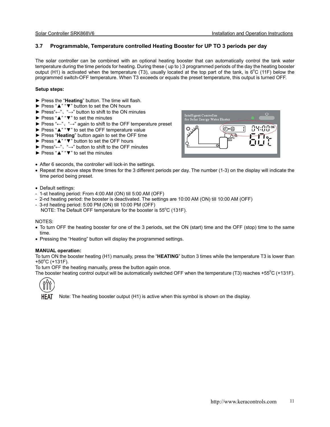# **3.7 Programmable, Temperature controlled Heating Booster for UP TO 3 periods per day**

The solar controller can be combined with an optional heating booster that can automatically control the tank water temperature during the time periods for heating. During these ( up to ) 3 programmed periods of the day the heating booster output (H1) is activated when the temperature (T3), usually located at the top part of the tank, is  $6^{\circ}$ C (11F) below the programmed switch-OFF temperature. When T3 exceeds or equals the preset temperature, this output is turned OFF.

#### **Setup steps:**

- ► Press the "**Heating**" button. The time will flash.
- ► Press "▲" "▼" button to set the ON hours
- ► Press"←"、"→" button to shift to the ON minutes
- ► Press "▲" "▼" to set the minutes
- ► Press "←"、"**→**" again to shift to the OFF temperature preset
- ► Press "▲" "▼" to set the OFF temperature value
- ► Press "**Heating**" button again to set the OFF time
- ► Press "▲" "▼" button to set the OFF hours
- ► Press"←"、"→" button to shift to the OFF minutes
- ► Press "▲" "▼" to set the minutes
- After 6 seconds, the controller will lock-in the settings.
- Repeat the above steps three times for the 3 different periods per day. The number (1-3) on the display will indicate the time period being preset.
- Default settings:
- 1-st heating period: From 4:00 AM (ON) till 5:00 AM (OFF)
- 2-nd heating period: the booster is deactivated. The settings are 10:00 AM (ON) till 10:00 AM (OFF)
- 3-rd heating period: 5:00 PM (ON) till 10:00 PM (OFF) NOTE: The Default OFF temperature for the booster is  $55^{\circ}$ C (131F).

#### NOTES:

- To turn OFF the heating booster for one of the 3 periods, set the ON (start) time and the OFF (stop) time to the same time.
- Pressing the "Heating" button will display the programmed settings.

### **MANUAL operation:**

To turn ON the booster heating (H1) manually, press the "**HEATING**" button 3 times while the temperature T3 is lower than  $+50^{\circ}$ C (+131F).

To turn OFF the heating manually, press the button again once.

The booster heating control output will be automatically switched OFF when the temperature (T3) reaches +55 $\mathrm{^{\circ}C}$  (+131F).



**HEAT** Note: The heating booster output (H1) is active when this symbol is shown on the display.

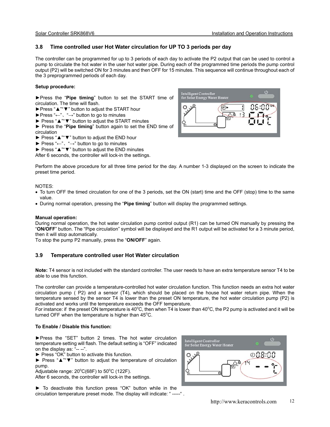# **3.8 Time controlled user Hot Water circulation for UP TO 3 periods per day**

The controller can be programmed for up to 3 periods of each day to activate the P2 output that can be used to control a pump to circulate the hot water in the user hot water pipe. During each of the programmed time periods the pump control output (P2) will be switched ON for 3 minutes and then OFF for 15 minutes. This sequence will continue throughout each of the 3 preprogrammed periods of each day.

#### **Setup procedure:**

►Press the "**Pipe timing**" button to set the START time of circulation. The time will flash.

- ►Press "▲""▼" button to adjust the START hour
- ►Press "←"、"→" button to go to minutes
- ► Press "▲""▼" button to adjust the START minutes
- ► Press the "**Pipe timing**" button again to set the END time of circulation
- ► Press "▲""▼" button to adjust the END hour
- ► Press " $\leftarrow$ ", " $\rightarrow$ " button to go to minutes
- ► Press "▲""▼" button to adjust the END minutes

After 6 seconds, the controller will lock-in the settings.



Perform the above procedure for all three time period for the day. A number 1-3 displayed on the screen to indicate the preset time period.

#### NOTES:

- To turn OFF the timed circulation for one of the 3 periods, set the ON (start) time and the OFF (stop) time to the same value.
- During normal operation, pressing the "**Pipe timing**" button will display the programmed settings.

#### **Manual operation:**

During normal operation, the hot water circulation pump control output (R1) can be turned ON manually by pressing the "**ON/OFF**" button. The "Pipe circulation" symbol will be displayed and the R1 output will be activated for a 3 minute period, then it will stop automatically.

To stop the pump P2 manually, press the "**ON/OFF**" again.

# **3.9 Temperature controlled user Hot Water circulation**

**Note:** T4 sensor is not included with the standard controller. The user needs to have an extra temperature sensor T4 to be able to use this function.

The controller can provide a temperature-controlled hot water circulation function. This function needs an extra hot water circulation pump ( P2) and a sensor (T4), which should be placed on the house hot water return pipe. When the temperature sensed by the sensor T4 is lower than the preset ON temperature, the hot water circulation pump (P2) is activated and works until the temperature exceeds the OFF temperature.

For instance: if the preset ON temperature is 40°C, then when T4 is lower than 40°C, the P2 pump is activated and it will be turned OFF when the temperature is higher than  $45^{\circ}$ C.

### **To Enable / Disable this function:**

►Press the "SET" button 2 times. The hot water circulation temperature setting will flash. The default setting is "OFF" indicated on the display as: "-- --".

► Press "OK" button to activate this function.

► Press "▲""▼" button to adjust the temperature of circulation pump.

Adjustable range:  $20^{\circ}$ C(68F) to 50 $^{\circ}$ C (122F).

After 6 seconds, the controller will lock-in the settings.

► To deactivate this function press "OK" button while in the circulation temperature preset mode. The display will indicate: " -----" .

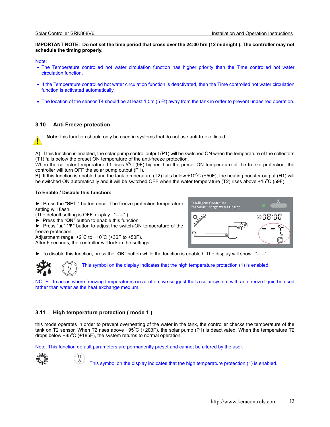#### **IMPORTANT NOTE: Do not set the time period that cross over the 24:00 hrs (12 midnight ). The controller may not schedule the timing properly.**

#### Note:

- The Temperature controlled hot water circulation function has higher priority than the Time controlled hot water circulation function.
- If the Temperature controlled hot water circulation function is deactivated, then the Time controlled hot water circulation function is activated automatically.
- The location of the sensor T4 should be at least 1.5m (5 Ft) away from the tank in order to prevent undesired operation.

# **3.10 Anti Freeze protection**

**Note:** this function should only be used in systems that do not use anti-freeze liquid.

A) If this function is enabled, the solar pump control output (P1) will be switched ON when the temperature of the collectors (T1) falls below the preset ON temperature of the anti-freeze protection.

When the collector temperature T1 rises  $5^{\circ}$ C (9F) higher than the preset ON temperature of the freeze protection, the controller will turn OFF the solar pump output (P1).

B) If this function is enabled and the tank temperature (T2) falls below +10°C (+50F), the heating booster output (H1) will be switched ON automatically and it will be switched OFF when the water temperature (T2) rises above +15°C (59F).

### **To Enable / Disable this function:**

► Press the "**SET** " button once. The freeze protection temperature setting will flash.

(The default setting is OFF, display: "-- --" )

► Press the "**OK**" button to enable this function.

► Press "▲" "▼" button to adjust the switch-ON temperature of the freeze protection.

Adjustment range:  $+2^{\circ}$ C to  $+10^{\circ}$ C ( $+36$ F to  $+50$ F).

After 6 seconds, the controller will lock-in the settings.

► To disable this function, press the "**OK**" button while the function is enabled. The display will show: "-- --".



This symbol on the display indicates that the high temperature protection (1) is enabled.

NOTE: In areas where freezing temperatures occur often, we suggest that a solar system with anti-freeze liquid be used rather than water as the heat exchange medium.

# **3.11 High temperature protection ( mode 1 )**

Ŏ.

this mode operates in order to prevent overheating of the water in the tank, the controller checks the temperature of the tank on T2 sensor. When T2 rises above +95°C (+203F), the solar pump (P1) is deactivated. When the temperature T2 drops below +85 $\mathrm{^{\circ}C}$  (+185F), the system returns to normal operation.

Note: This function default parameters are permanently preset and cannot be altered by the user.

This symbol on the display indicates that the high temperature protection (1) is enabled.

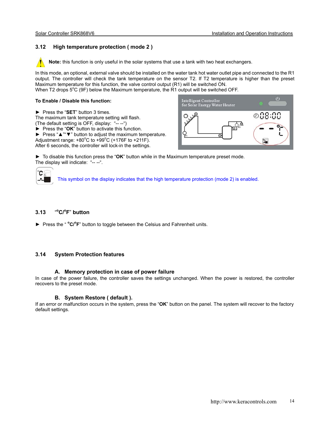# **3.12 High temperature protection ( mode 2 )**

 **Note:** this function is only useful in the solar systems that use a tank with two heat exchangers.

ľ In this mode, an optional, external valve should be installed on the water tank hot water outlet pipe and connected to the R1 output. The controller will check the tank temperature on the sensor T2. If T2 temperature is higher than the preset Maximum temperature for this function, the valve control output (R1) will be switched ON.

When T2 drops  $5^{\circ}$ C (9F) below the Maximum temperature, the R1 output will be switched OFF.

### **To Enable / Disable this function:**

► Press the "**SET**" button 3 times.

The maximum tank temperature setting will flash. (The default setting is OFF, display: "-- --")

► Press the "**OK**" button to activate this function.

► Press "▲""▼" button to adjust the maximum temperature. Adjustment range:  $+80^{\circ}$ C to  $+99^{\circ}$ C (+176F to  $+211$ F).

After 6 seconds, the controller will lock-in the settings.



► To disable this function press the "**OK**" button while in the Maximum temperature preset mode. The display will indicate: "-- --".

This symbol on the display indicates that the high temperature protection (mode 2) is enabled.

#### **3.13** " **o C/o F**" **button**

Ć

► Press the "<sup>o</sup>C/<sup>o</sup>F" button to toggle between the Celsius and Fahrenheit units.

# **3.14 System Protection features**

### **A. Memory protection in case of power failure**

In case of the power failure, the controller saves the settings unchanged. When the power is restored, the controller recovers to the preset mode.

# **B. System Restore ( default ).**

If an error or malfunction occurs in the system, press the "**OK**" button on the panel. The system will recover to the factory default settings.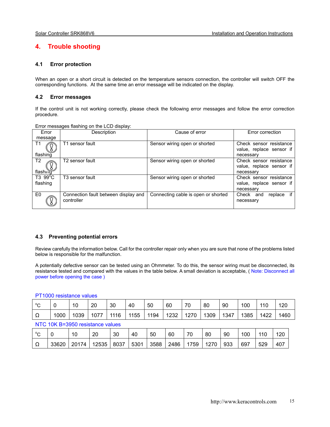# **4. Trouble shooting**

# **4.1 Error protection**

When an open or a short circuit is detected on the temperature sensors connection, the controller will switch OFF the corresponding functions. At the same time an error message will be indicated on the display.

# **4.2 Error messages**

If the control unit is not working correctly, please check the following error messages and follow the error correction procedure.

Error messages flashing on the LCD display:

| Error                         | Description                                        | Cause of error                      | Error correction                                                 |
|-------------------------------|----------------------------------------------------|-------------------------------------|------------------------------------------------------------------|
| message                       |                                                    |                                     |                                                                  |
| T <sub>1</sub><br>flashing    | T1 sensor fault                                    | Sensor wiring open or shorted       | Check sensor resistance<br>value, replace sensor if<br>necessary |
| T <sub>2</sub><br>flashirid   | T2 sensor fault                                    | Sensor wiring open or shorted       | Check sensor resistance<br>value, replace sensor if<br>necessary |
| $T3.99^{\circ}$ C<br>flashing | T <sub>3</sub> sensor fault                        | Sensor wiring open or shorted       | Check sensor resistance<br>value, replace sensor if<br>necessary |
| E0                            | Connection fault between display and<br>controller | Connecting cable is open or shorted | if<br>Check and<br>replace<br>necessary                          |

# **4.3 Preventing potential errors**

Review carefully the information below. Call for the controller repair only when you are sure that none of the problems listed below is responsible for the malfunction.

A potentially defective sensor can be tested using an Ohmmeter. To do this, the sensor wiring must be disconnected, its resistance tested and compared with the values in the table below. A small deviation is acceptable, (Note: Disconnect all power before opening the case )

### PT1000 resistance values

| $\circ$ | ν    | 10   | 20   | 30   | 40   | 50   | 60   | 70   | 80   | 90   | 100  | 110  | 120  |
|---------|------|------|------|------|------|------|------|------|------|------|------|------|------|
| 77      | 1000 | 1039 | 1077 | 1116 | 1155 | 1194 | 1232 | 1270 | 1309 | 1347 | 1385 | 1422 | 1460 |

### NTC 10K B=3950 resistance values

| $\sim$ |       | 10    | 20    | 30   | 40   | 50   | 60   | 70  | 80   | 90  | 00، | 110 | 120 |
|--------|-------|-------|-------|------|------|------|------|-----|------|-----|-----|-----|-----|
| ▵      | 33620 | 20174 | 12535 | 8037 | 5301 | 3588 | 2486 | 759 | 1270 | 933 | 697 | 529 | 407 |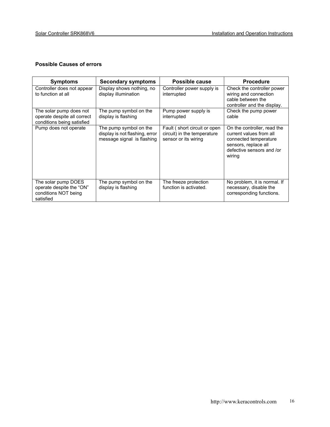# **Possible Causes of errors**

| <b>Symptoms</b>                                                                      | <b>Secondary symptoms</b>                                                              | <b>Possible cause</b>                                                                | <b>Procedure</b>                                                                                                                               |
|--------------------------------------------------------------------------------------|----------------------------------------------------------------------------------------|--------------------------------------------------------------------------------------|------------------------------------------------------------------------------------------------------------------------------------------------|
| Controller does not appear<br>to function at all                                     | Display shows nothing, no<br>display illumination                                      | Controller power supply is<br>interrupted                                            | Check the controller power<br>wiring and connection<br>cable between the<br>controller and the display.                                        |
| The solar pump does not<br>operate despite all correct<br>conditions being satisfied | The pump symbol on the<br>display is flashing                                          | Pump power supply is<br>interrupted                                                  | Check the pump power<br>cable                                                                                                                  |
| Pump does not operate                                                                | The pump symbol on the<br>display is not flashing, error<br>message signal is flashing | Fault (short circuit or open)<br>circuit) in the temperature<br>sensor or its wiring | On the controller, read the<br>current values from all<br>connected temperature<br>sensors, replace all<br>defective sensors and /or<br>wiring |
| The solar pump DOES<br>operate despite the "ON"<br>conditions NOT being<br>satisfied | The pump symbol on the<br>display is flashing                                          | The freeze protection<br>function is activated.                                      | No problem, it is normal. If<br>necessary, disable the<br>corresponding functions.                                                             |